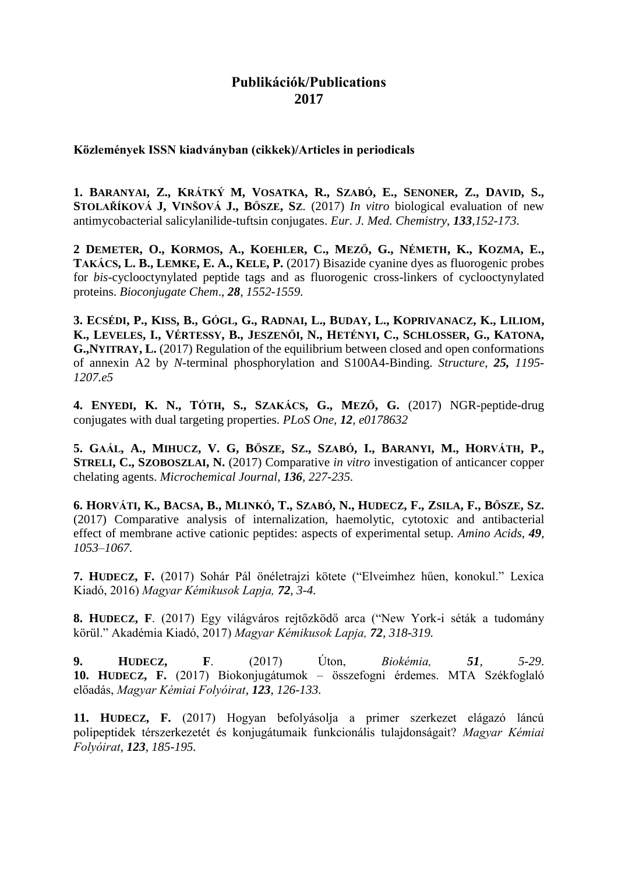## **Publikációk/Publications 2017**

**Közlemények ISSN kiadványban (cikkek)/Articles in periodicals**

**1. BARANYAI, Z., KRÁTKÝ M, VOSATKA, R., SZABÓ, E., SENONER, Z., DAVID, S., STOLAŘÍKOVÁ J, VINŠOVÁ J., BŐSZE, SZ**. (2017) *In vitro* biological evaluation of new antimycobacterial salicylanilide-tuftsin conjugates. *Eur. J. Med. Chemistry*, *133,152-173.*

**2 DEMETER, O., KORMOS, A., KOEHLER, C., MEZŐ, G., NÉMETH, K., KOZMA, E., TAKÁCS, L. B., LEMKE, E. A., KELE, P.** (2017) Bisazide cyanine dyes as fluorogenic probes for *bis*-cyclooctynylated peptide tags and as fluorogenic cross-linkers of cyclooctynylated proteins. *Bioconjugate Chem*., *28, 1552-1559.*

**3. ECSÉDI, P., KISS, B., GÓGL, G., RADNAI, L., BUDAY, L., KOPRIVANACZ, K., LILIOM, K., LEVELES, I., VÉRTESSY, B., JESZENŐI, N., HETÉNYI, C., SCHLOSSER, G., KATONA, G.,NYITRAY, L.** (2017) Regulation of the equilibrium between closed and open conformations of annexin A2 by *N*-terminal phosphorylation and S100A4-Binding. *Structure, 25, 1195- 1207.e5*

**4. ENYEDI, K. N., TÓTH, S., SZAKÁCS, G., MEZŐ, G.** (2017) NGR-peptide-drug conjugates with dual targeting properties. *PLoS One, 12, e0178632*

**5. GAÁL, A., MIHUCZ, V. G, BŐSZE, SZ., SZABÓ, I., BARANYI, M., HORVÁTH, P., STRELI, C., SZOBOSZLAI, N.** (2017) Comparative *in vitro* investigation of anticancer copper chelating agents. *Microchemical Journal, 136, 227-235.*

**6. HORVÁTI, K., BACSA, B., MLINKÓ, T., SZABÓ, N., HUDECZ, F., ZSILA, F., BŐSZE, SZ.** (2017) Comparative analysis of internalization, haemolytic, cytotoxic and antibacterial effect of membrane active cationic peptides: aspects of experimental setup. *Amino Acids*, *49, 1053–1067.*

**7. HUDECZ, F.** (2017) Sohár Pál önéletrajzi kötete ("Elveimhez hűen, konokul." Lexica Kiadó, 2016) *Magyar Kémikusok Lapja, 72, 3-4.*

**8. HUDECZ, F**. (2017) Egy világváros rejtőzködő arca ("New York-i séták a tudomány körül." Akadémia Kiadó, 2017) *Magyar Kémikusok Lapja, 72, 318-319.*

**9. HUDECZ, F**. (2017) Úton, *Biokémia, 51, 5-29*. **10. HUDECZ, F.** (2017) Biokonjugátumok – összefogni érdemes. MTA Székfoglaló előadás, *Magyar Kémiai Folyóirat*, *123*, *126-133.*

**11. HUDECZ, F.** (2017) Hogyan befolyásolja a primer szerkezet elágazó láncú polipeptidek térszerkezetét és konjugátumaik funkcionális tulajdonságait? *Magyar Kémiai Folyóirat*, *123*, *185-195.*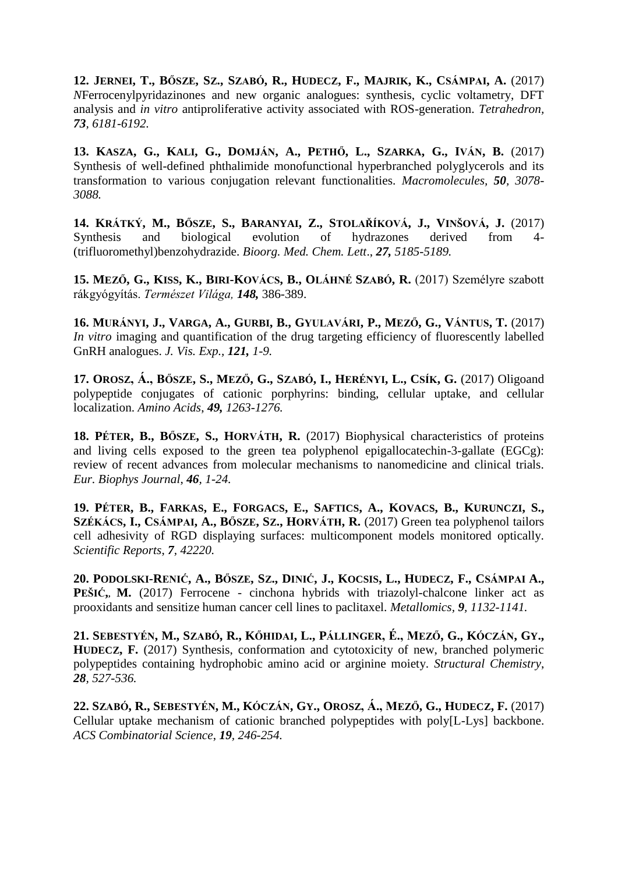**12. JERNEI, T., BŐSZE, SZ., SZABÓ, R., HUDECZ, F., MAJRIK, K., CSÁMPAI, A.** (2017) *N*Ferrocenylpyridazinones and new organic analogues: synthesis, cyclic voltametry, DFT analysis and *in vitro* antiproliferative activity associated with ROS-generation. *Tetrahedron, 73, 6181-6192.*

**13. KASZA, G., KALI, G., DOMJÁN, A., PETHŐ, L., SZARKA, G., IVÁN, B.** (2017) Synthesis of well-defined phthalimide monofunctional hyperbranched polyglycerols and its transformation to various conjugation relevant functionalities. *Macromolecules, 50, 3078- 3088.*

**14. KRÁTKÝ, M., BŐSZE, S., BARANYAI, Z., STOLAŘÍKOVÁ, J., VINŠOVÁ, J.** (2017) Synthesis and biological evolution of hydrazones derived from 4- (trifluoromethyl)benzohydrazide. *Bioorg. Med. Chem. Lett*., *27, 5185-5189.*

**15. MEZŐ, G., KISS, K., BIRI-KOVÁCS, B., OLÁHNÉ SZABÓ, R.** (2017) Személyre szabott rákgyógyítás. *Természet Világa, 148,* 386-389.

**16. MURÁNYI, J., VARGA, A., GURBI, B., GYULAVÁRI, P., MEZŐ, G., VÁNTUS, T.** (2017) *In vitro* imaging and quantification of the drug targeting efficiency of fluorescently labelled GnRH analogues. *J. Vis. Exp., 121, 1-9.*

**17. OROSZ, Á., BŐSZE, S., MEZŐ, G., SZABÓ, I., HERÉNYI, L., CSÍK, G.** (2017) Oligoand polypeptide conjugates of cationic porphyrins: binding, cellular uptake, and cellular localization. *Amino Acids*, *49, 1263-1276.*

**18. PÉTER, B., BŐSZE, S., HORVÁTH, R.** (2017) Biophysical characteristics of proteins and living cells exposed to the green tea polyphenol epigallocatechin-3-gallate (EGCg): review of recent advances from molecular mechanisms to nanomedicine and clinical trials. *Eur. Biophys Journal*, *46, 1-24.*

**19. PÉTER, B., FARKAS, E., FORGACS, E., SAFTICS, A., KOVACS, B., KURUNCZI, S., SZÉKÁCS, I., CSÁMPAI, A., BŐSZE, SZ., HORVÁTH, R.** (2017) Green tea polyphenol tailors cell adhesivity of RGD displaying surfaces: multicomponent models monitored optically. *Scientific Reports*, *7, 42220.*

**20. PODOLSKI-RENIĆ, A., BŐSZE, SZ., DINIĆ, J., KOCSIS, L., HUDECZ, F., CSÁMPAI A., PEŠIĆ,, M.** (2017) Ferrocene - cinchona hybrids with triazolyl-chalcone linker act as prooxidants and sensitize human cancer cell lines to paclitaxel. *Metallomics, 9, 1132-1141.*

**21. SEBESTYÉN, M., SZABÓ, R., KŐHIDAI, L., PÁLLINGER, É., MEZŐ, G., KÓCZÁN, GY., HUDECZ, F.** (2017) Synthesis, conformation and cytotoxicity of new, branched polymeric polypeptides containing hydrophobic amino acid or arginine moiety. *Structural Chemistry*, *28, 527-536.*

**22. SZABÓ, R., SEBESTYÉN, M., KÓCZÁN, GY., OROSZ, Á., MEZŐ, G., HUDECZ, F.** (2017) Cellular uptake mechanism of cationic branched polypeptides with poly[L-Lys] backbone. *ACS Combinatorial Science*, *19, 246-254.*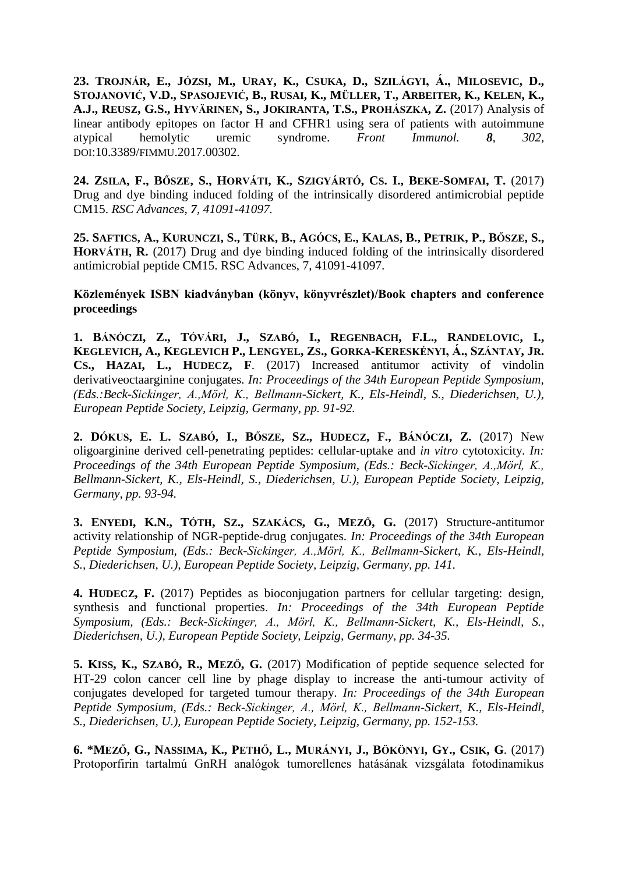**23. TROJNÁR, E., JÓZSI, M., URAY, K., CSUKA, D., SZILÁGYI, Á., MILOSEVIC, D., STOJANOVIĆ, V.D., SPASOJEVIĆ, B., RUSAI, K., MÜLLER, T., ARBEITER, K., KELEN, K., A.J., REUSZ, G.S., HYVÄRINEN, S., JOKIRANTA, T.S., PROHÁSZKA, Z.** (2017) Analysis of linear antibody epitopes on factor H and CFHR1 using sera of patients with autoimmune atypical hemolytic uremic syndrome. *Front Immunol. 8, 302,* DOI:10.3389/FIMMU.2017.00302.

**24. ZSILA, F., BŐSZE, S., HORVÁTI, K., SZIGYÁRTÓ, CS. I., BEKE-SOMFAI, T.** (2017) Drug and dye binding induced folding of the intrinsically disordered antimicrobial peptide CM15. *RSC Advances*, *7, 41091-41097.*

**25. SAFTICS, A., KURUNCZI, S., TÜRK, B., AGÓCS, E., KALAS, B., PETRIK, P., BŐSZE, S., HORVÁTH, R.** (2017) Drug and dye binding induced folding of the intrinsically disordered antimicrobial peptide CM15. RSC Advances, 7, 41091-41097.

## **Közlemények ISBN kiadványban (könyv, könyvrészlet)/Book chapters and conference proceedings**

**1. BÁNÓCZI, Z., TÓVÁRI, J., SZABÓ, I., REGENBACH, F.L., RANDELOVIC, I., KEGLEVICH, A., KEGLEVICH P., LENGYEL, ZS., GORKA-KERESKÉNYI, Á., SZÁNTAY, JR. CS., HAZAI, L., HUDECZ, F**. (2017) Increased antitumor activity of vindolin derivativeoctaarginine conjugates. *In: Proceedings of the 34th European Peptide Symposium, (Eds.:Beck-Sickinger, A.,Mörl, K., Bellmann-Sickert, K., Els-Heindl, S., Diederichsen, U.), European Peptide Society, Leipzig, Germany, pp. 91-92.*

**2. DÓKUS, E. L. SZABÓ, I., BŐSZE, SZ., HUDECZ, F., BÁNÓCZI, Z.** (2017) New oligoarginine derived cell-penetrating peptides: cellular-uptake and *in vitro* cytotoxicity. *In: Proceedings of the 34th European Peptide Symposium, (Eds.: Beck-Sickinger, A.,Mörl, K., Bellmann-Sickert, K., Els-Heindl, S., Diederichsen, U.), European Peptide Society, Leipzig, Germany, pp. 93-94.*

**3. ENYEDI, K.N., TÓTH, SZ., SZAKÁCS, G., MEZŐ, G.** (2017) Structure-antitumor activity relationship of NGR-peptide-drug conjugates. *In: Proceedings of the 34th European Peptide Symposium, (Eds.: Beck-Sickinger, A.,Mörl, K., Bellmann-Sickert, K., Els-Heindl, S., Diederichsen, U.), European Peptide Society, Leipzig, Germany, pp. 141.*

**4. HUDECZ, F.** (2017) Peptides as bioconjugation partners for cellular targeting: design, synthesis and functional properties. *In: Proceedings of the 34th European Peptide Symposium, (Eds.: Beck-Sickinger, A., Mörl, K., Bellmann-Sickert, K., Els-Heindl, S., Diederichsen, U.), European Peptide Society, Leipzig, Germany, pp. 34-35.*

**5. KISS, K., SZABÓ, R., MEZŐ, G.** (2017) Modification of peptide sequence selected for HT-29 colon cancer cell line by phage display to increase the anti-tumour activity of conjugates developed for targeted tumour therapy. *In: Proceedings of the 34th European Peptide Symposium, (Eds.: Beck-Sickinger, A., Mörl, K., Bellmann-Sickert, K., Els-Heindl, S., Diederichsen, U.), European Peptide Society, Leipzig, Germany, pp. 152-153.*

**6. \*MEZŐ, G., NASSIMA, K., PETHŐ, L., MURÁNYI, J., BÖKÖNYI, GY., CSIK, G**. (2017) Protoporfirin tartalmú GnRH analógok tumorellenes hatásának vizsgálata fotodinamikus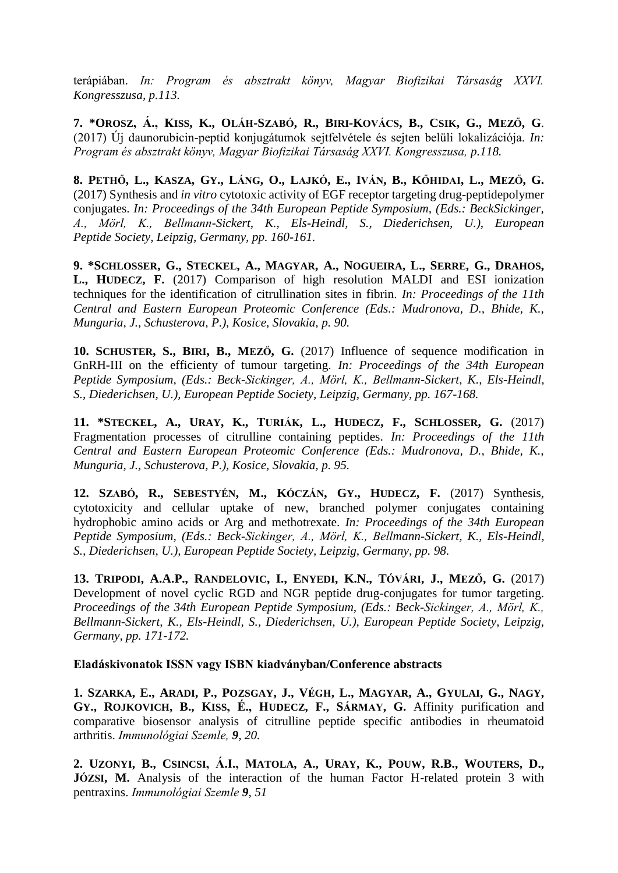terápiában. *In: Program és absztrakt könyv, Magyar Biofizikai Társaság XXVI. Kongresszusa, p.113.*

**7. \*OROSZ, Á., KISS, K., OLÁH-SZABÓ, R., BIRI-KOVÁCS, B., CSIK, G., MEZŐ, G**. (2017) Új daunorubicin-peptid konjugátumok sejtfelvétele és sejten belüli lokalizációja. *In: Program és absztrakt könyv, Magyar Biofizikai Társaság XXVI. Kongresszusa, p.118.*

**8. PETHŐ, L., KASZA, GY., LÁNG, O., LAJKÓ, E., IVÁN, B., KŐHIDAI, L., MEZŐ, G.** (2017) Synthesis and *in vitro* cytotoxic activity of EGF receptor targeting drug-peptidepolymer conjugates. *In: Proceedings of the 34th European Peptide Symposium, (Eds.: BeckSickinger, A., Mörl, K., Bellmann-Sickert, K., Els-Heindl, S., Diederichsen, U.), European Peptide Society, Leipzig, Germany, pp. 160-161.*

**9. \*SCHLOSSER, G., STECKEL, A., MAGYAR, A., NOGUEIRA, L., SERRE, G., DRAHOS, L., HUDECZ, F.** (2017) Comparison of high resolution MALDI and ESI ionization techniques for the identification of citrullination sites in fibrin. *In: Proceedings of the 11th Central and Eastern European Proteomic Conference (Eds.: Mudronova, D., Bhide, K., Munguria, J., Schusterova, P.), Kosice, Slovakia, p. 90.*

**10. SCHUSTER, S., BIRI, B., MEZŐ, G.** (2017) Influence of sequence modification in GnRH-III on the efficienty of tumour targeting. *In: Proceedings of the 34th European Peptide Symposium, (Eds.: Beck-Sickinger, A., Mörl, K., Bellmann-Sickert, K., Els-Heindl, S., Diederichsen, U.), European Peptide Society, Leipzig, Germany, pp. 167-168.*

**11. \*STECKEL, A., URAY, K., TURIÁK, L., HUDECZ, F., SCHLOSSER, G.** (2017) Fragmentation processes of citrulline containing peptides. *In: Proceedings of the 11th Central and Eastern European Proteomic Conference (Eds.: Mudronova, D., Bhide, K., Munguria, J., Schusterova, P.), Kosice, Slovakia, p. 95.*

**12. SZABÓ, R., SEBESTYÉN, M., KÓCZÁN, GY., HUDECZ, F.** (2017) Synthesis, cytotoxicity and cellular uptake of new, branched polymer conjugates containing hydrophobic amino acids or Arg and methotrexate. *In: Proceedings of the 34th European Peptide Symposium, (Eds.: Beck-Sickinger, A., Mörl, K., Bellmann-Sickert, K., Els-Heindl, S., Diederichsen, U.), European Peptide Society, Leipzig, Germany, pp. 98.*

**13. TRIPODI, A.A.P., RANDELOVIC, I., ENYEDI, K.N., TÓVÁRI, J., MEZŐ, G.** (2017) Development of novel cyclic RGD and NGR peptide drug-conjugates for tumor targeting. *Proceedings of the 34th European Peptide Symposium, (Eds.: Beck-Sickinger, A., Mörl, K., Bellmann-Sickert, K., Els-Heindl, S., Diederichsen, U.), European Peptide Society, Leipzig, Germany, pp. 171-172.*

## **Eladáskivonatok ISSN vagy ISBN kiadványban/Conference abstracts**

**1. SZARKA, E., ARADI, P., POZSGAY, J., VÉGH, L., MAGYAR, A., GYULAI, G., NAGY, GY., ROJKOVICH, B., KISS, É., HUDECZ, F., SÁRMAY, G.** Affinity purification and comparative biosensor analysis of citrulline peptide specific antibodies in rheumatoid arthritis. *Immunológiai Szemle, 9, 20.*

**2. UZONYI, B., CSINCSI, Á.I., MATOLA, A., URAY, K., POUW, R.B., WOUTERS, D., JÓZSI, M.** Analysis of the interaction of the human Factor H-related protein 3 with pentraxins. *Immunológiai Szemle 9, 51*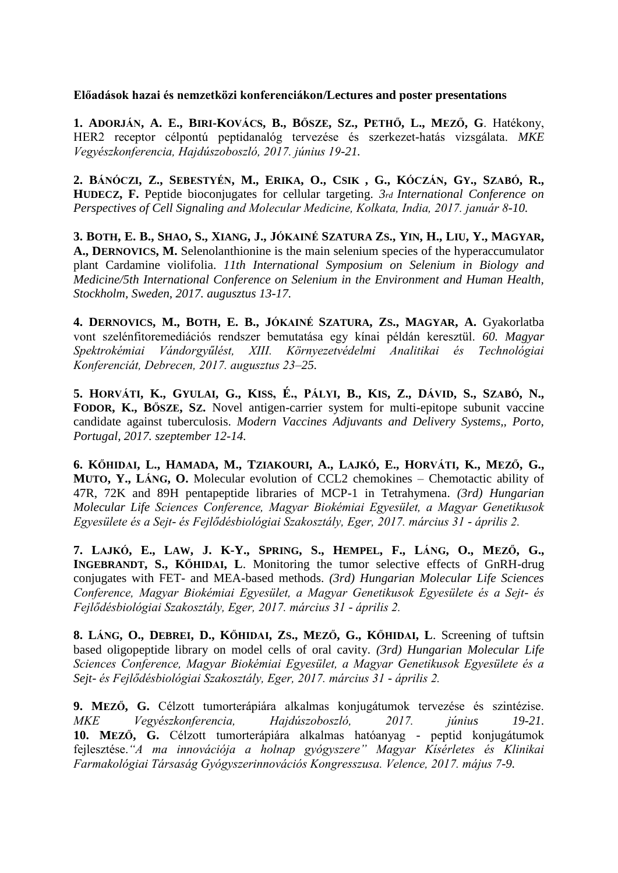**Előadások hazai és nemzetközi konferenciákon/Lectures and poster presentations**

**1. ADORJÁN, A. E., BIRI-KOVÁCS, B., BŐSZE, SZ., PETHŐ, L., MEZŐ, G**. Hatékony, HER2 receptor célpontú peptidanalóg tervezése és szerkezet-hatás vizsgálata. *MKE Vegyészkonferencia, Hajdúszoboszló, 2017. június 19-21.*

**2. BÁNÓCZI, Z., SEBESTYÉN, M., ERIKA, O., CSIK , G., KÓCZÁN, GY., SZABÓ, R., HUDECZ, F.** Peptide bioconjugates for cellular targeting. *3rd International Conference on Perspectives of Cell Signaling and Molecular Medicine, Kolkata, India, 2017. január 8-10.*

**3. BOTH, E. B., SHAO, S., XIANG, J., JÓKAINÉ SZATURA ZS., YIN, H., LIU, Y., MAGYAR, A., DERNOVICS, M.** Selenolanthionine is the main selenium species of the hyperaccumulator plant Cardamine violifolia. *11th International Symposium on Selenium in Biology and Medicine/5th International Conference on Selenium in the Environment and Human Health, Stockholm, Sweden, 2017. augusztus 13-17.*

**4. DERNOVICS, M., BOTH, E. B., JÓKAINÉ SZATURA, ZS., MAGYAR, A.** Gyakorlatba vont szelénfitoremediációs rendszer bemutatása egy kínai példán keresztül. *60. Magyar Spektrokémiai Vándorgyűlést, XIII. Környezetvédelmi Analitikai és Technológiai Konferenciát, Debrecen, 2017. augusztus 23–25.*

**5. HORVÁTI, K., GYULAI, G., KISS, É., PÁLYI, B., KIS, Z., DÁVID, S., SZABÓ, N., FODOR, K., BŐSZE, SZ.** Novel antigen-carrier system for multi-epitope subunit vaccine candidate against tuberculosis. *Modern Vaccines Adjuvants and Delivery Systems,, Porto, Portugal, 2017. szeptember 12-14.*

**6. KŐHIDAI, L., HAMADA, M., TZIAKOURI, A., LAJKÓ, E., HORVÁTI, K., MEZŐ, G., MUTO, Y., LÁNG, O.** Molecular evolution of CCL2 chemokines – Chemotactic ability of 47R, 72K and 89H pentapeptide libraries of MCP-1 in Tetrahymena. *(3rd) Hungarian Molecular Life Sciences Conference, Magyar Biokémiai Egyesület, a Magyar Genetikusok Egyesülete és a Sejt- és Fejlődésbiológiai Szakosztály, Eger, 2017. március 31 - április 2.*

**7. LAJKÓ, E., LAW, J. K-Y., SPRING, S., HEMPEL, F., LÁNG, O., MEZŐ, G., INGEBRANDT, S., KŐHIDAI, L**. Monitoring the tumor selective effects of GnRH-drug conjugates with FET- and MEA-based methods. *(3rd) Hungarian Molecular Life Sciences Conference, Magyar Biokémiai Egyesület, a Magyar Genetikusok Egyesülete és a Sejt- és Fejlődésbiológiai Szakosztály, Eger, 2017. március 31 - április 2.*

**8. LÁNG, O., DEBREI, D., KŐHIDAI, ZS., MEZŐ, G., KŐHIDAI, L**. Screening of tuftsin based oligopeptide library on model cells of oral cavity. *(3rd) Hungarian Molecular Life Sciences Conference, Magyar Biokémiai Egyesület, a Magyar Genetikusok Egyesülete és a Sejt- és Fejlődésbiológiai Szakosztály, Eger, 2017. március 31 - április 2.*

**9. MEZŐ, G.** Célzott tumorterápiára alkalmas konjugátumok tervezése és szintézise. *MKE Vegyészkonferencia, Hajdúszoboszló, 2017. június 19-21.* **10. MEZŐ, G.** Célzott tumorterápiára alkalmas hatóanyag - peptid konjugátumok fejlesztése.*"A ma innovációja a holnap gyógyszere" Magyar Kísérletes és Klinikai Farmakológiai Társaság Gyógyszerinnovációs Kongresszusa. Velence, 2017. május 7-9.*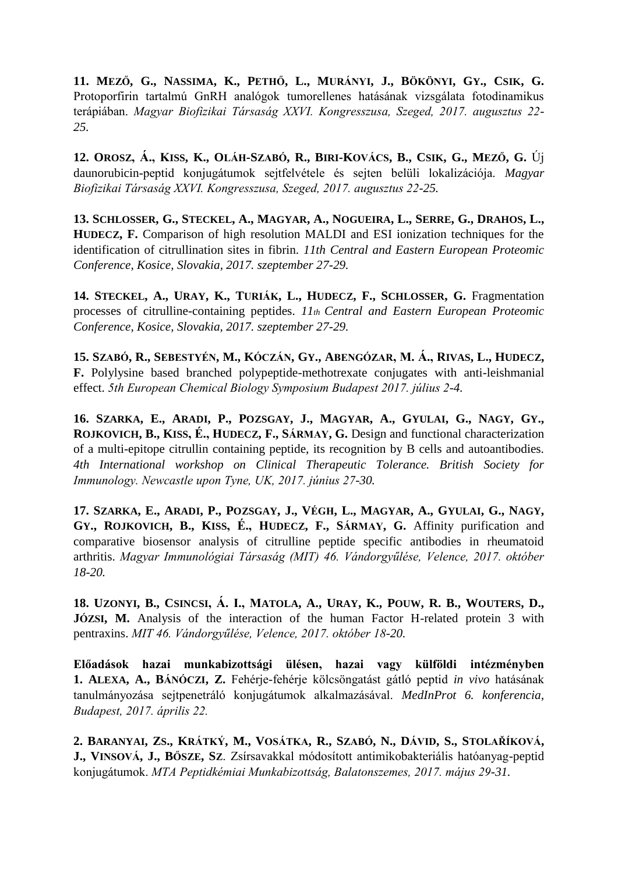**11. MEZŐ, G., NASSIMA, K., PETHŐ, L., MURÁNYI, J., BÖKÖNYI, GY., CSIK, G.** Protoporfirin tartalmú GnRH analógok tumorellenes hatásának vizsgálata fotodinamikus terápiában. *Magyar Biofizikai Társaság XXVI. Kongresszusa, Szeged, 2017. augusztus 22- 25.*

**12. OROSZ, Á., KISS, K., OLÁH-SZABÓ, R., BIRI-KOVÁCS, B., CSIK, G., MEZŐ, G.** Új daunorubicin-peptid konjugátumok sejtfelvétele és sejten belüli lokalizációja. *Magyar Biofizikai Társaság XXVI. Kongresszusa, Szeged, 2017. augusztus 22-25.*

**13. SCHLOSSER, G., STECKEL, A., MAGYAR, A., NOGUEIRA, L., SERRE, G., DRAHOS, L., HUDECZ, F.** Comparison of high resolution MALDI and ESI ionization techniques for the identification of citrullination sites in fibrin. *11th Central and Eastern European Proteomic Conference, Kosice, Slovakia, 2017. szeptember 27-29.*

**14. STECKEL, A., URAY, K., TURIÁK, L., HUDECZ, F., SCHLOSSER, G.** Fragmentation processes of citrulline-containing peptides. *11th Central and Eastern European Proteomic Conference, Kosice, Slovakia, 2017. szeptember 27-29.*

**15. SZABÓ, R., SEBESTYÉN, M., KÓCZÁN, GY., ABENGÓZAR, M. Á., RIVAS, L., HUDECZ, F.** Polylysine based branched polypeptide-methotrexate conjugates with anti-leishmanial effect. *5th European Chemical Biology Symposium Budapest 2017. július 2-4.*

**16. SZARKA, E., ARADI, P., POZSGAY, J., MAGYAR, A., GYULAI, G., NAGY, GY., ROJKOVICH, B., KISS, É., HUDECZ, F., SÁRMAY, G.** Design and functional characterization of a multi-epitope citrullin containing peptide, its recognition by B cells and autoantibodies. *4th International workshop on Clinical Therapeutic Tolerance. British Society for Immunology. Newcastle upon Tyne, UK, 2017. június 27-30.*

**17. SZARKA, E., ARADI, P., POZSGAY, J., VÉGH, L., MAGYAR, A., GYULAI, G., NAGY, GY., ROJKOVICH, B., KISS, É., HUDECZ, F., SÁRMAY, G.** Affinity purification and comparative biosensor analysis of citrulline peptide specific antibodies in rheumatoid arthritis. *Magyar Immunológiai Társaság (MIT) 46. Vándorgyűlése, Velence, 2017. október 18-20.*

**18. UZONYI, B., CSINCSI, Á. I., MATOLA, A., URAY, K., POUW, R. B., WOUTERS, D., JÓZSI, M.** Analysis of the interaction of the human Factor H-related protein 3 with pentraxins. *MIT 46. Vándorgyűlése, Velence, 2017. október 18-20.*

**Előadások hazai munkabizottsági ülésen, hazai vagy külföldi intézményben 1. ALEXA, A., BÁNÓCZI, Z.** Fehérje-fehérje kölcsöngatást gátló peptid *in vivo* hatásának tanulmányozása sejtpenetráló konjugátumok alkalmazásával. *MedInProt 6. konferencia, Budapest, 2017. április 22.*

**2. BARANYAI, ZS., KRÁTKÝ, M., VOSÁTKA, R., SZABÓ, N., DÁVID, S., STOLAŘÍKOVÁ, J., VINSOVÁ, J., BŐSZE, SZ**. Zsírsavakkal módosított antimikobakteriális hatóanyag-peptid konjugátumok. *MTA Peptidkémiai Munkabizottság, Balatonszemes, 2017. május 29-31.*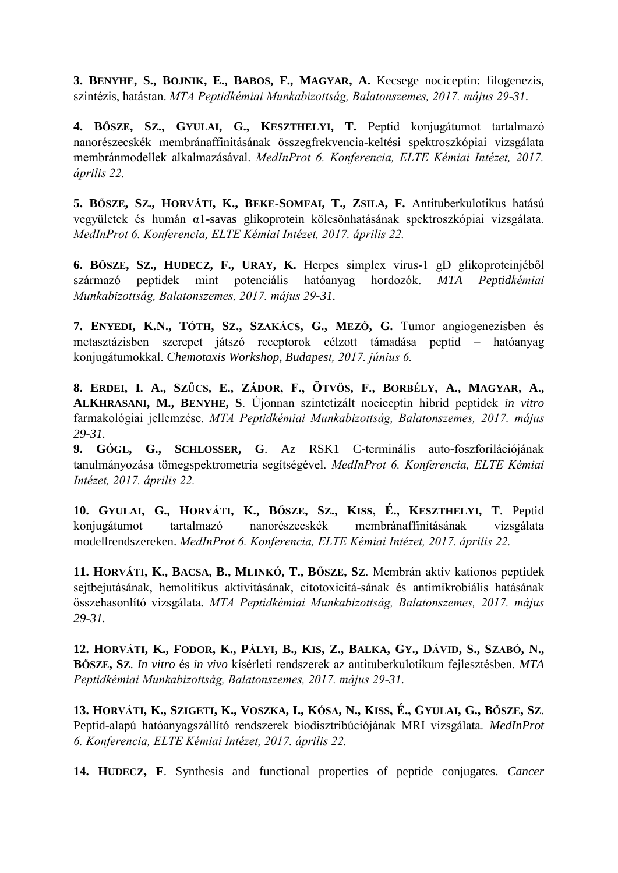**3. BENYHE, S., BOJNIK, E., BABOS, F., MAGYAR, A.** Kecsege nociceptin: filogenezis, szintézis, hatástan. *MTA Peptidkémiai Munkabizottság, Balatonszemes, 2017. május 29-31.*

**4. BŐSZE, SZ., GYULAI, G., KESZTHELYI, T.** Peptid konjugátumot tartalmazó nanorészecskék membránaffinitásának összegfrekvencia-keltési spektroszkópiai vizsgálata membránmodellek alkalmazásával. *MedInProt 6. Konferencia, ELTE Kémiai Intézet, 2017. április 22.*

**5. BŐSZE, SZ., HORVÁTI, K., BEKE-SOMFAI, T., ZSILA, F.** Antituberkulotikus hatású vegyületek és humán α1-savas glikoprotein kölcsönhatásának spektroszkópiai vizsgálata. *MedInProt 6. Konferencia, ELTE Kémiai Intézet, 2017. április 22.*

**6. BŐSZE, SZ., HUDECZ, F., URAY, K.** Herpes simplex vírus-1 gD glikoproteinjéből származó peptidek mint potenciális hatóanyag hordozók. *MTA Peptidkémiai Munkabizottság, Balatonszemes, 2017. május 29-31.*

**7. ENYEDI, K.N., TÓTH, SZ., SZAKÁCS, G., MEZŐ, G.** Tumor angiogenezisben és metasztázisben szerepet játszó receptorok célzott támadása peptid – hatóanyag konjugátumokkal. *Chemotaxis Workshop, Budapest, 2017. június 6.*

**8. ERDEI, I. A., SZŰCS, E., ZÁDOR, F., ÖTVÖS, F., BORBÉLY, A., MAGYAR, A., ALKHRASANI, M., BENYHE, S**. Újonnan szintetizált nociceptin hibrid peptidek *in vitro* farmakológiai jellemzése. *MTA Peptidkémiai Munkabizottság, Balatonszemes, 2017. május 29-31.*

**9. GÓGL, G., SCHLOSSER, G**. Az RSK1 C-terminális auto-foszforilációjának tanulmányozása tömegspektrometria segítségével. *MedInProt 6. Konferencia, ELTE Kémiai Intézet, 2017. április 22.*

**10. GYULAI, G., HORVÁTI, K., BŐSZE, SZ., KISS, É., KESZTHELYI, T**. Peptid konjugátumot tartalmazó nanorészecskék membránaffinitásának vizsgálata modellrendszereken. *MedInProt 6. Konferencia, ELTE Kémiai Intézet, 2017. április 22.*

**11. HORVÁTI, K., BACSA, B., MLINKÓ, T., BŐSZE, SZ**. Membrán aktív kationos peptidek sejtbejutásának, hemolitikus aktivitásának, citotoxicitá-sának és antimikrobiális hatásának összehasonlító vizsgálata. *MTA Peptidkémiai Munkabizottság, Balatonszemes, 2017. május 29-31.*

**12. HORVÁTI, K., FODOR, K., PÁLYI, B., KIS, Z., BALKA, GY., DÁVID, S., SZABÓ, N., BŐSZE, SZ**. *In vitro* és *in vivo* kísérleti rendszerek az antituberkulotikum fejlesztésben. *MTA Peptidkémiai Munkabizottság, Balatonszemes, 2017. május 29-31.*

**13. HORVÁTI, K., SZIGETI, K., VOSZKA, I., KÓSA, N., KISS, É., GYULAI, G., BŐSZE, SZ**. Peptid-alapú hatóanyagszállító rendszerek biodisztribúciójának MRI vizsgálata. *MedInProt 6. Konferencia, ELTE Kémiai Intézet, 2017. április 22.*

**14. HUDECZ, F**. Synthesis and functional properties of peptide conjugates. *Cancer*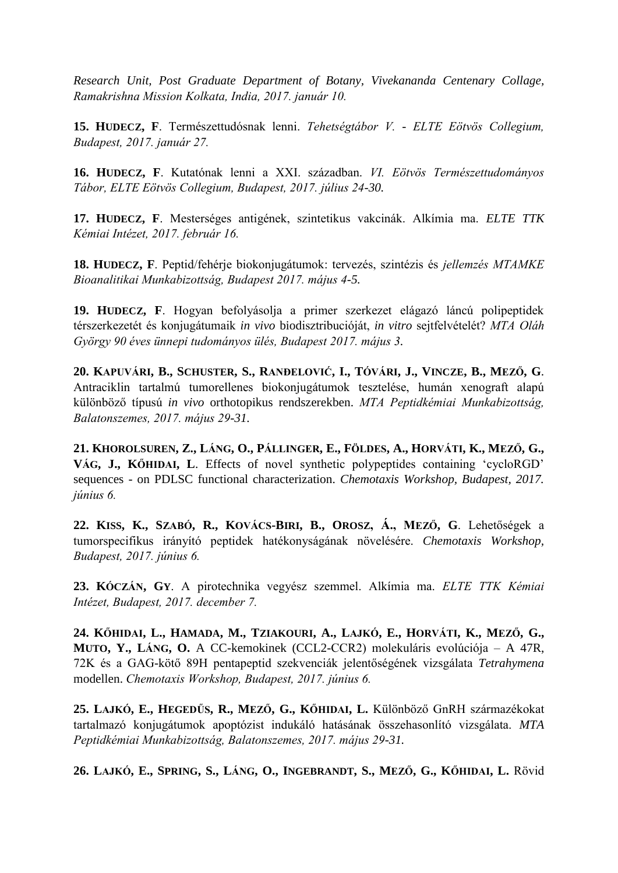*Research Unit, Post Graduate Department of Botany, Vivekananda Centenary Collage, Ramakrishna Mission Kolkata, India, 2017. január 10.*

**15. HUDECZ, F**. Természettudósnak lenni. *Tehetségtábor V.* - *ELTE Eötvös Collegium, Budapest, 2017. január 27.*

**16. HUDECZ, F**. Kutatónak lenni a XXI. században. *VI. Eötvös Természettudományos Tábor, ELTE Eötvös Collegium, Budapest, 2017. július 24-30.*

**17. HUDECZ, F**. Mesterséges antigének, szintetikus vakcinák. Alkímia ma. *ELTE TTK Kémiai Intézet, 2017. február 16.*

**18. HUDECZ, F**. Peptid/fehérje biokonjugátumok: tervezés, szintézis és *jellemzés MTAMKE Bioanalitikai Munkabizottság, Budapest 2017. május 4-5.*

**19. HUDECZ, F**. Hogyan befolyásolja a primer szerkezet elágazó láncú polipeptidek térszerkezetét és konjugátumaik *in vivo* biodisztribucióját, *in vitro* sejtfelvételét? *MTA Oláh György 90 éves ünnepi tudományos ülés, Budapest 2017. május 3.*

**20. KAPUVÁRI, B., SCHUSTER, S., RANĐELOVIĆ, I., TÓVÁRI, J., VINCZE, B., MEZŐ, G**. Antraciklin tartalmú tumorellenes biokonjugátumok tesztelése, humán xenograft alapú különböző típusú *in vivo* orthotopikus rendszerekben. *MTA Peptidkémiai Munkabizottság, Balatonszemes, 2017. május 29-31.*

**21. KHOROLSUREN, Z., LÁNG, O., PÁLLINGER, E., FÖLDES, A., HORVÁTI, K., MEZŐ, G., VÁG, J., KŐHIDAI, L**. Effects of novel synthetic polypeptides containing 'cycloRGD' sequences - on PDLSC functional characterization. *Chemotaxis Workshop, Budapest, 2017. június 6.*

**22. KISS, K., SZABÓ, R., KOVÁCS-BIRI, B., OROSZ, Á., MEZŐ, G**. Lehetőségek a tumorspecifikus irányító peptidek hatékonyságának növelésére. *Chemotaxis Workshop, Budapest, 2017. június 6.*

**23. KÓCZÁN, GY**. A pirotechnika vegyész szemmel. Alkímia ma. *ELTE TTK Kémiai Intézet, Budapest, 2017. december 7.*

**24. KŐHIDAI, L., HAMADA, M., TZIAKOURI, A., LAJKÓ, E., HORVÁTI, K., MEZŐ, G., MUTO, Y., LÁNG, O.** A CC-kemokinek (CCL2-CCR2) molekuláris evolúciója – A 47R, 72K és a GAG-kötő 89H pentapeptid szekvenciák jelentőségének vizsgálata *Tetrahymena* modellen. *Chemotaxis Workshop, Budapest, 2017. június 6.*

**25. LAJKÓ, E., HEGEDŰS, R., MEZŐ, G., KŐHIDAI, L.** Különböző GnRH származékokat tartalmazó konjugátumok apoptózist indukáló hatásának összehasonlító vizsgálata. *MTA Peptidkémiai Munkabizottság, Balatonszemes, 2017. május 29-31.*

**26. LAJKÓ, E., SPRING, S., LÁNG, O., INGEBRANDT, S., MEZŐ, G., KŐHIDAI, L.** Rövid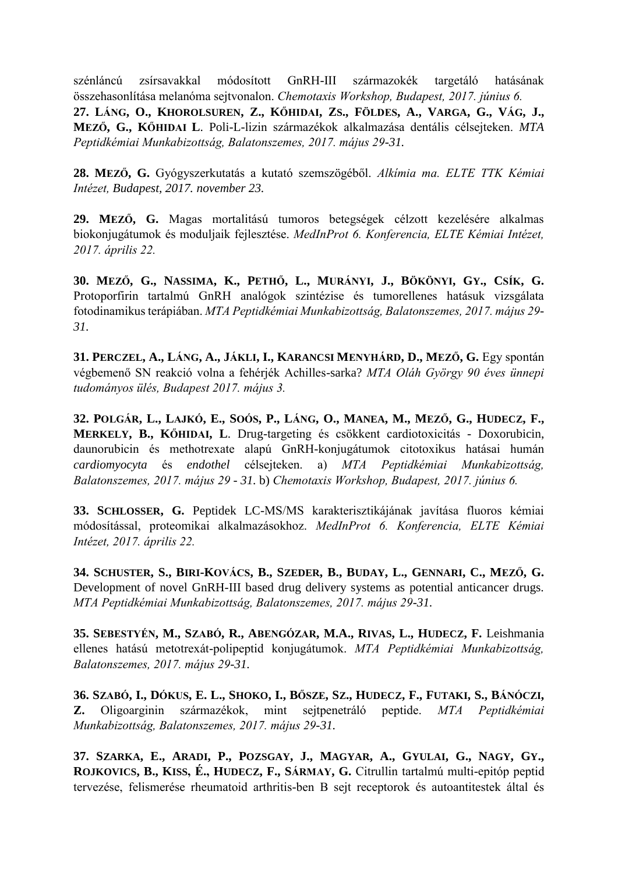szénláncú zsírsavakkal módosított GnRH-III származokék targetáló hatásának összehasonlítása melanóma sejtvonalon. *Chemotaxis Workshop, Budapest, 2017. június 6.* **27. LÁNG, O., KHOROLSUREN, Z., KŐHIDAI, ZS., FÖLDES, A., VARGA, G., VÁG, J., MEZŐ, G., KŐHIDAI L**. Poli-L-lizin származékok alkalmazása dentális célsejteken. *MTA Peptidkémiai Munkabizottság, Balatonszemes, 2017. május 29-31.*

**28. MEZŐ, G.** Gyógyszerkutatás a kutató szemszögéből. *Alkímia ma. ELTE TTK Kémiai Intézet, Budapest, 2017. november 23.*

**29. MEZŐ, G.** Magas mortalitású tumoros betegségek célzott kezelésére alkalmas biokonjugátumok és moduljaik fejlesztése. *MedInProt 6. Konferencia, ELTE Kémiai Intézet, 2017. április 22.*

**30. MEZŐ, G., NASSIMA, K., PETHŐ, L., MURÁNYI, J., BÖKÖNYI, GY., CSÍK, G.** Protoporfirin tartalmú GnRH analógok szintézise és tumorellenes hatásuk vizsgálata fotodinamikus terápiában. *MTA Peptidkémiai Munkabizottság, Balatonszemes, 2017. május 29- 31.*

**31. PERCZEL, A., LÁNG, A., JÁKLI, I., KARANCSI MENYHÁRD, D., MEZŐ, G.** Egy spontán végbemenő SN reakció volna a fehérjék Achilles-sarka? *MTA Oláh György 90 éves ünnepi tudományos ülés, Budapest 2017. május 3.*

**32. POLGÁR, L., LAJKÓ, E., SOÓS, P., LÁNG, O., MANEA, M., MEZŐ, G., HUDECZ, F., MERKELY, B., KŐHIDAI, L**. Drug-targeting és csökkent cardiotoxicitás - Doxorubicin, daunorubicin és methotrexate alapú GnRH-konjugátumok citotoxikus hatásai humán *cardiomyocyta* és *endothel* célsejteken. a) *MTA Peptidkémiai Munkabizottság, Balatonszemes, 2017. május 29 - 31.* b) *Chemotaxis Workshop, Budapest, 2017. június 6.*

**33. SCHLOSSER, G.** Peptidek LC-MS/MS karakterisztikájának javítása fluoros kémiai módosítással, proteomikai alkalmazásokhoz. *MedInProt 6. Konferencia, ELTE Kémiai Intézet, 2017. április 22.*

**34. SCHUSTER, S., BIRI-KOVÁCS, B., SZEDER, B., BUDAY, L., GENNARI, C., MEZŐ, G.** Development of novel GnRH-III based drug delivery systems as potential anticancer drugs. *MTA Peptidkémiai Munkabizottság, Balatonszemes, 2017. május 29-31.*

**35. SEBESTYÉN, M., SZABÓ, R., ABENGÓZAR, M.A., RIVAS, L., HUDECZ, F.** Leishmania ellenes hatású metotrexát-polipeptid konjugátumok. *MTA Peptidkémiai Munkabizottság, Balatonszemes, 2017. május 29-31.*

**36. SZABÓ, I., DÓKUS, E. L., SHOKO, I., BŐSZE, SZ., HUDECZ, F., FUTAKI, S., BÁNÓCZI, Z.** Oligoarginin származékok, mint sejtpenetráló peptide. *MTA Peptidkémiai Munkabizottság, Balatonszemes, 2017. május 29-31.*

**37. SZARKA, E., ARADI, P., POZSGAY, J., MAGYAR, A., GYULAI, G., NAGY, GY., ROJKOVICS, B., KISS, É., HUDECZ, F., SÁRMAY, G.** Citrullin tartalmú multi-epitóp peptid tervezése, felismerése rheumatoid arthritis-ben B sejt receptorok és autoantitestek által és